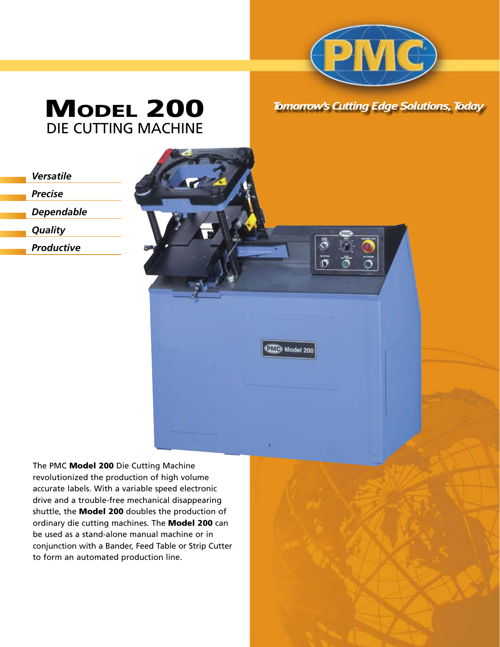

*Tomorrow's Cutting Edge Solutions, Today*

# **MODEL 200** DIE CUTTING MACHINE

*Precise*

*Dependable*

*Quality*

*Productive*



The PMC Model 200 Die Cutting Machine revolutionized the production of high volume accurate labels. With a variable speed electronic drive and a trouble-free mechanical disappearing shuttle, the Model 200 doubles the production of ordinary die cutting machines. The Model 200 can be used as a stand-alone manual machine or in conjunction with a Bander, Feed Table or Strip Cutter to form an automated production line.